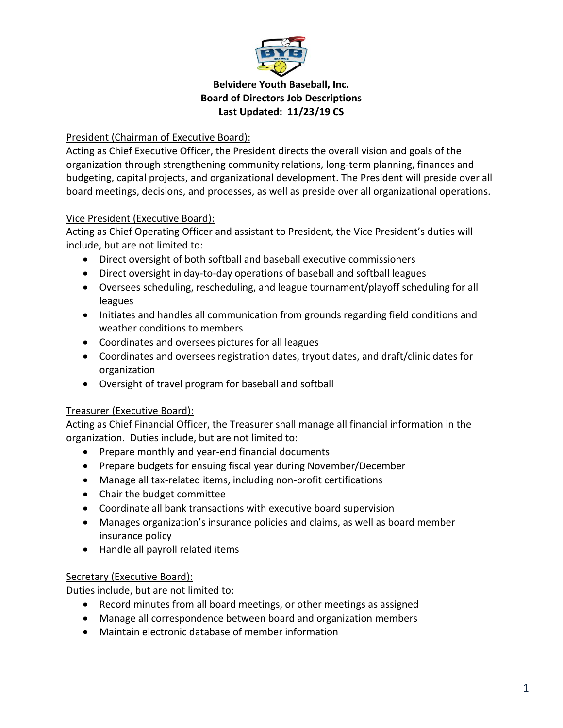

## President (Chairman of Executive Board):

Acting as Chief Executive Officer, the President directs the overall vision and goals of the organization through strengthening community relations, long-term planning, finances and budgeting, capital projects, and organizational development. The President will preside over all board meetings, decisions, and processes, as well as preside over all organizational operations.

## Vice President (Executive Board):

Acting as Chief Operating Officer and assistant to President, the Vice President's duties will include, but are not limited to:

- Direct oversight of both softball and baseball executive commissioners
- Direct oversight in day-to-day operations of baseball and softball leagues
- Oversees scheduling, rescheduling, and league tournament/playoff scheduling for all leagues
- Initiates and handles all communication from grounds regarding field conditions and weather conditions to members
- Coordinates and oversees pictures for all leagues
- Coordinates and oversees registration dates, tryout dates, and draft/clinic dates for organization
- Oversight of travel program for baseball and softball

# Treasurer (Executive Board):

Acting as Chief Financial Officer, the Treasurer shall manage all financial information in the organization. Duties include, but are not limited to:

- Prepare monthly and year-end financial documents
- Prepare budgets for ensuing fiscal year during November/December
- Manage all tax-related items, including non-profit certifications
- Chair the budget committee
- Coordinate all bank transactions with executive board supervision
- Manages organization's insurance policies and claims, as well as board member insurance policy
- Handle all payroll related items

### Secretary (Executive Board):

Duties include, but are not limited to:

- Record minutes from all board meetings, or other meetings as assigned
- Manage all correspondence between board and organization members
- Maintain electronic database of member information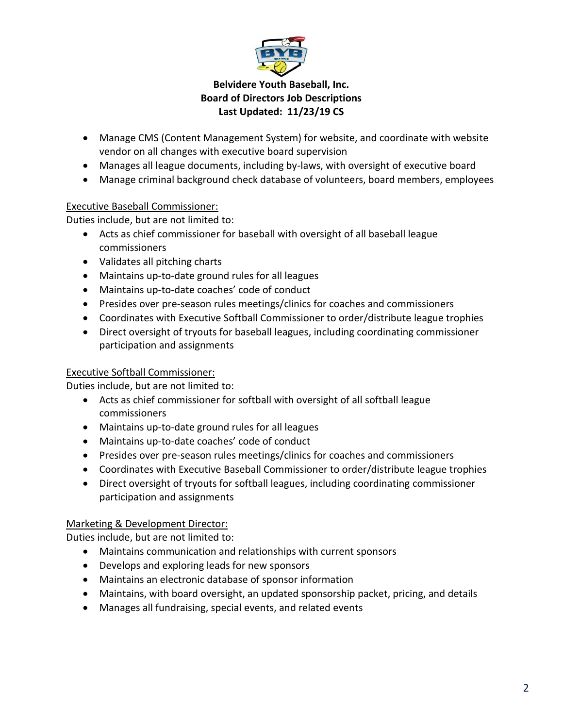

- Manage CMS (Content Management System) for website, and coordinate with website vendor on all changes with executive board supervision
- Manages all league documents, including by-laws, with oversight of executive board
- Manage criminal background check database of volunteers, board members, employees

#### Executive Baseball Commissioner:

Duties include, but are not limited to:

- Acts as chief commissioner for baseball with oversight of all baseball league commissioners
- Validates all pitching charts
- Maintains up-to-date ground rules for all leagues
- Maintains up-to-date coaches' code of conduct
- Presides over pre-season rules meetings/clinics for coaches and commissioners
- Coordinates with Executive Softball Commissioner to order/distribute league trophies
- Direct oversight of tryouts for baseball leagues, including coordinating commissioner participation and assignments

### Executive Softball Commissioner:

Duties include, but are not limited to:

- Acts as chief commissioner for softball with oversight of all softball league commissioners
- Maintains up-to-date ground rules for all leagues
- Maintains up-to-date coaches' code of conduct
- Presides over pre-season rules meetings/clinics for coaches and commissioners
- Coordinates with Executive Baseball Commissioner to order/distribute league trophies
- Direct oversight of tryouts for softball leagues, including coordinating commissioner participation and assignments

### Marketing & Development Director:

Duties include, but are not limited to:

- Maintains communication and relationships with current sponsors
- Develops and exploring leads for new sponsors
- Maintains an electronic database of sponsor information
- Maintains, with board oversight, an updated sponsorship packet, pricing, and details
- Manages all fundraising, special events, and related events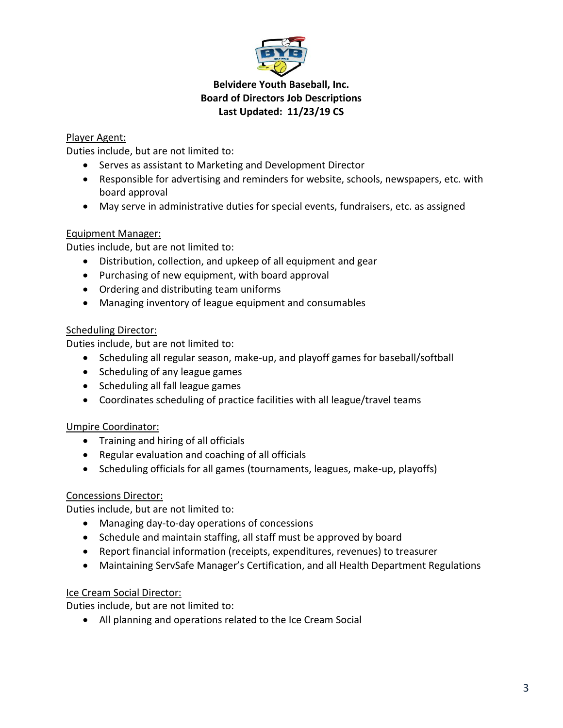

## Player Agent:

Duties include, but are not limited to:

- Serves as assistant to Marketing and Development Director
- Responsible for advertising and reminders for website, schools, newspapers, etc. with board approval
- May serve in administrative duties for special events, fundraisers, etc. as assigned

### Equipment Manager:

Duties include, but are not limited to:

- Distribution, collection, and upkeep of all equipment and gear
- Purchasing of new equipment, with board approval
- Ordering and distributing team uniforms
- Managing inventory of league equipment and consumables

## Scheduling Director:

Duties include, but are not limited to:

- Scheduling all regular season, make-up, and playoff games for baseball/softball
- Scheduling of any league games
- Scheduling all fall league games
- Coordinates scheduling of practice facilities with all league/travel teams

# Umpire Coordinator:

- Training and hiring of all officials
- Regular evaluation and coaching of all officials
- Scheduling officials for all games (tournaments, leagues, make-up, playoffs)

### Concessions Director:

Duties include, but are not limited to:

- Managing day-to-day operations of concessions
- Schedule and maintain staffing, all staff must be approved by board
- Report financial information (receipts, expenditures, revenues) to treasurer
- Maintaining ServSafe Manager's Certification, and all Health Department Regulations

### Ice Cream Social Director:

Duties include, but are not limited to:

All planning and operations related to the Ice Cream Social